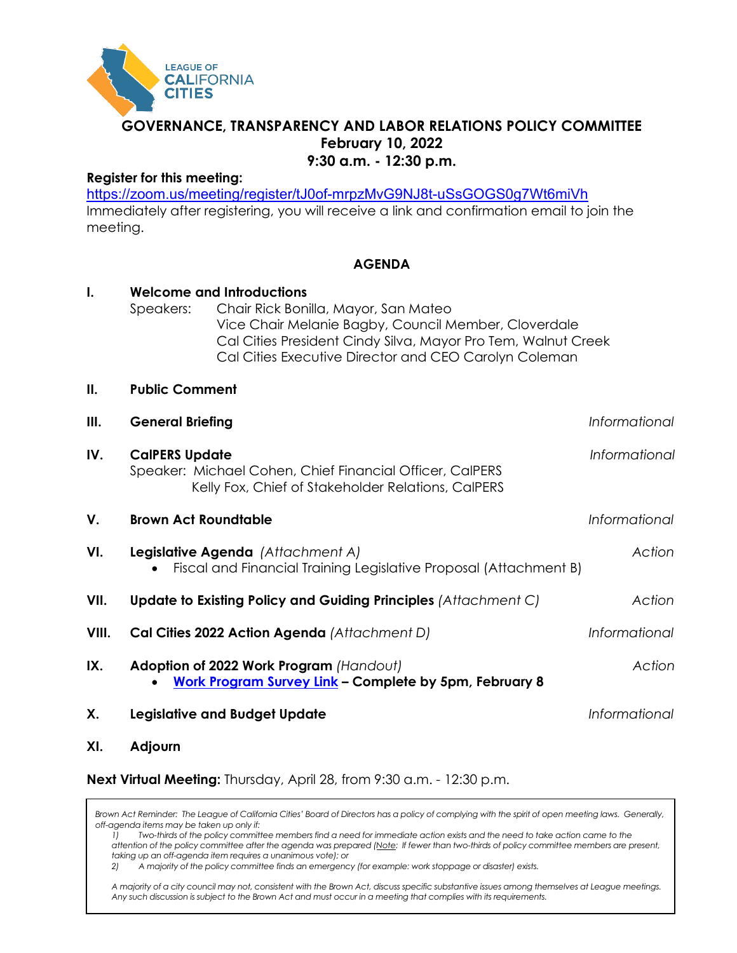

# **GOVERNANCE, TRANSPARENCY AND LABOR RELATIONS POLICY COMMITTEE February 10, 2022 9:30 a.m. - 12:30 p.m.**

# **Register for this meeting:**

<https://zoom.us/meeting/register/tJ0of-mrpzMvG9NJ8t-uSsGOGS0g7Wt6miVh> Immediately after registering, you will receive a link and confirmation email to join the meeting.

. . . . . . . . . .

# **AGENDA**

| I.    | Speakers:                                                                                                                               | <b>Welcome and Introductions</b><br>Chair Rick Bonilla, Mayor, San Mateo<br>Vice Chair Melanie Bagby, Council Member, Cloverdale<br>Cal Cities President Cindy Silva, Mayor Pro Tem, Walnut Creek<br>Cal Cities Executive Director and CEO Carolyn Coleman |               |
|-------|-----------------------------------------------------------------------------------------------------------------------------------------|------------------------------------------------------------------------------------------------------------------------------------------------------------------------------------------------------------------------------------------------------------|---------------|
| ΙΙ.   | <b>Public Comment</b>                                                                                                                   |                                                                                                                                                                                                                                                            |               |
| Ш.    | <b>General Briefing</b>                                                                                                                 |                                                                                                                                                                                                                                                            | Informational |
| IV.   | <b>CalPERS Update</b><br>Speaker: Michael Cohen, Chief Financial Officer, CalPERS<br>Kelly Fox, Chief of Stakeholder Relations, CalPERS |                                                                                                                                                                                                                                                            | Informational |
| V.    | <b>Brown Act Roundtable</b>                                                                                                             |                                                                                                                                                                                                                                                            | Informational |
| VI.   | Legislative Agenda (Attachment A)<br>Fiscal and Financial Training Legislative Proposal (Attachment B)                                  |                                                                                                                                                                                                                                                            | Action        |
| VII.  | Update to Existing Policy and Guiding Principles (Attachment C)                                                                         |                                                                                                                                                                                                                                                            | Action        |
| VIII. |                                                                                                                                         | Cal Cities 2022 Action Agenda (Attachment D)                                                                                                                                                                                                               | Informational |
| IX.   |                                                                                                                                         | Adoption of 2022 Work Program (Handout)<br>Work Program Survey Link - Complete by 5pm, February 8                                                                                                                                                          | Action        |
| Х.    |                                                                                                                                         | <b>Legislative and Budget Update</b>                                                                                                                                                                                                                       | Informational |
| VI.   | $A$ diourn                                                                                                                              |                                                                                                                                                                                                                                                            |               |

**XI. Adjourn**

**Next Virtual Meeting:** Thursday, April 28, from 9:30 a.m. - 12:30 p.m.

*Brown Act Reminder: The League of California Cities' Board of Directors has a policy of complying with the spirit of open meeting laws. Generally, off-agenda items may be taken up only if:*

*1) Two-thirds of the policy committee members find a need for immediate action exists and the need to take action came to the attention of the policy committee after the agenda was prepared (Note: If fewer than two-thirds of policy committee members are present, taking up an off-agenda item requires a unanimous vote); or*

*2) A majority of the policy committee finds an emergency (for example: work stoppage or disaster) exists.* 

*A majority of a city council may not, consistent with the Brown Act, discuss specific substantive issues among themselves at League meetings. Any such discussion is subject to the Brown Act and must occur in a meeting that complies with its requirements.*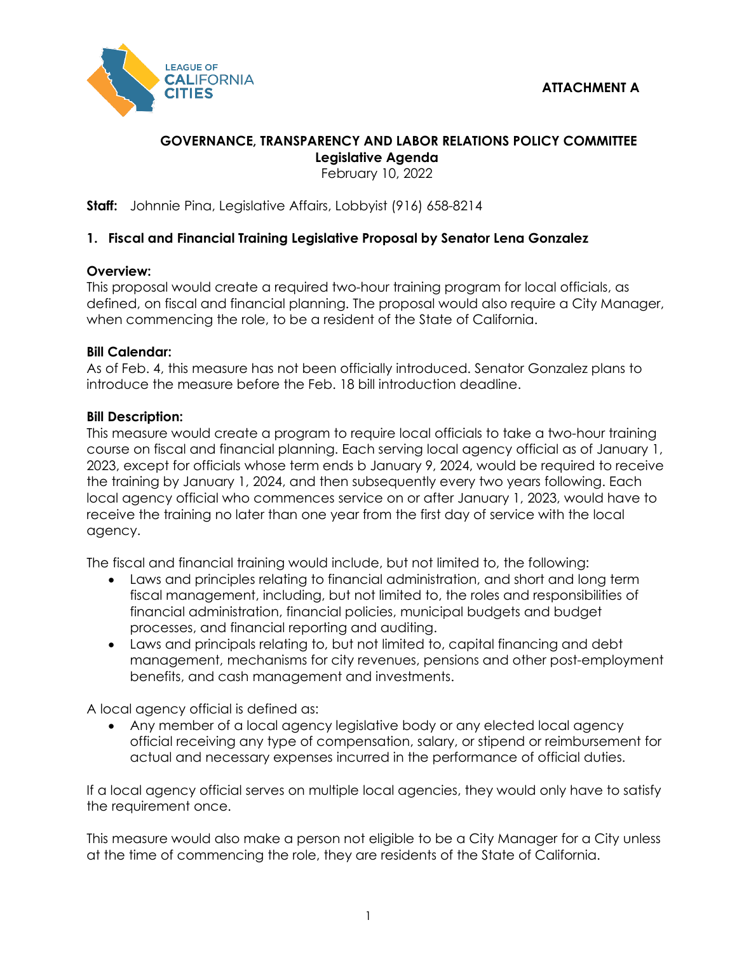

# **GOVERNANCE, TRANSPARENCY AND LABOR RELATIONS POLICY COMMITTEE Legislative Agenda**

February 10, 2022

**Staff:** Johnnie Pina, Legislative Affairs, Lobbyist (916) 658-8214

# **1. Fiscal and Financial Training Legislative Proposal by Senator Lena Gonzalez**

# **Overview:**

This proposal would create a required two-hour training program for local officials, as defined, on fiscal and financial planning. The proposal would also require a City Manager, when commencing the role, to be a resident of the State of California.

# **Bill Calendar:**

As of Feb. 4, this measure has not been officially introduced. Senator Gonzalez plans to introduce the measure before the Feb. 18 bill introduction deadline.

# **Bill Description:**

This measure would create a program to require local officials to take a two-hour training course on fiscal and financial planning. Each serving local agency official as of January 1, 2023, except for officials whose term ends b January 9, 2024, would be required to receive the training by January 1, 2024, and then subsequently every two years following. Each local agency official who commences service on or after January 1, 2023, would have to receive the training no later than one year from the first day of service with the local agency.

The fiscal and financial training would include, but not limited to, the following:

- Laws and principles relating to financial administration, and short and long term fiscal management, including, but not limited to, the roles and responsibilities of financial administration, financial policies, municipal budgets and budget processes, and financial reporting and auditing.
- Laws and principals relating to, but not limited to, capital financing and debt management, mechanisms for city revenues, pensions and other post-employment benefits, and cash management and investments.

A local agency official is defined as:

• Any member of a local agency legislative body or any elected local agency official receiving any type of compensation, salary, or stipend or reimbursement for actual and necessary expenses incurred in the performance of official duties.

If a local agency official serves on multiple local agencies, they would only have to satisfy the requirement once.

This measure would also make a person not eligible to be a City Manager for a City unless at the time of commencing the role, they are residents of the State of California.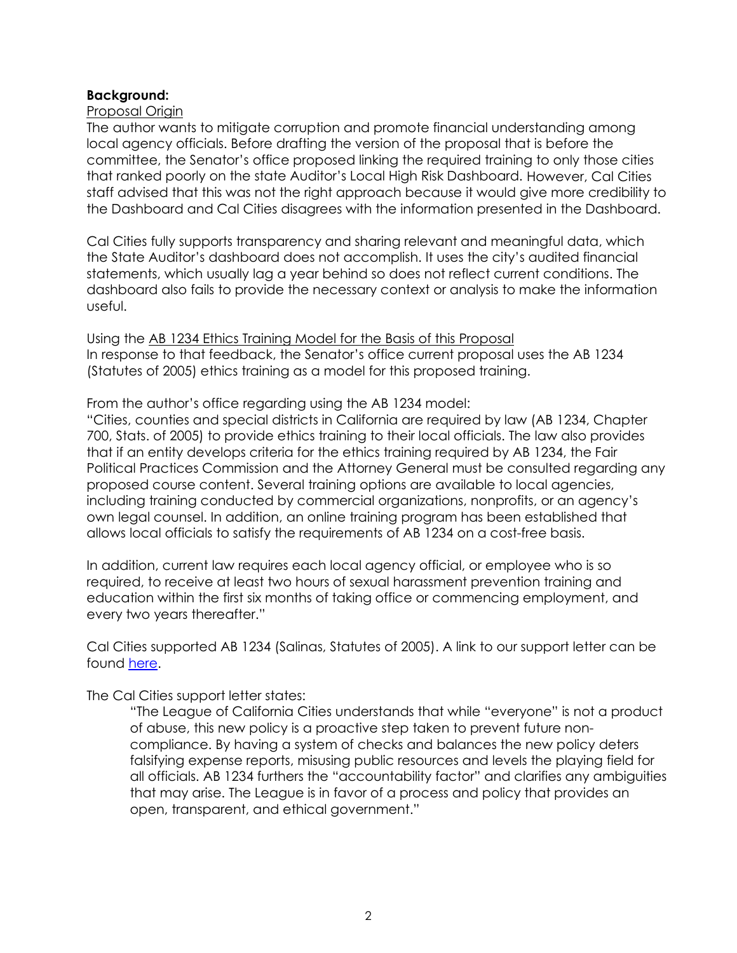### **Background:**

### Proposal Origin

The author wants to mitigate corruption and promote financial understanding among local agency officials. Before drafting the version of the proposal that is before the committee, the Senator's office proposed linking the required training to only those cities that ranked poorly on the state Auditor's Local High Risk Dashboard. However, Cal Cities staff advised that this was not the right approach because it would give more credibility to the Dashboard and Cal Cities disagrees with the information presented in the Dashboard.

Cal Cities fully supports transparency and sharing relevant and meaningful data, which the State Auditor's dashboard does not accomplish. It uses the city's audited financial statements, which usually lag a year behind so does not reflect current conditions. The dashboard also fails to provide the necessary context or analysis to make the information useful.

Using the AB 1234 Ethics Training Model for the Basis of this Proposal In response to that feedback, the Senator's office current proposal uses the AB 1234 (Statutes of 2005) ethics training as a model for this proposed training.

From the author's office regarding using the AB 1234 model:

"Cities, counties and special districts in California are required by law (AB 1234, Chapter 700, Stats. of 2005) to provide ethics training to their local officials. The law also provides that if an entity develops criteria for the ethics training required by AB 1234, the Fair Political Practices Commission and the Attorney General must be consulted regarding any proposed course content. Several training options are available to local agencies, including training conducted by commercial organizations, nonprofits, or an agency's own legal counsel. In addition, an online training program has been established that allows local officials to satisfy the requirements of AB 1234 on a cost-free basis.

In addition, current law requires each local agency official, or employee who is so required, to receive at least two hours of sexual harassment prevention training and education within the first six months of taking office or commencing employment, and every two years thereafter."

Cal Cities supported AB 1234 (Salinas, Statutes of 2005). A link to our support letter can be found [here.](https://ctweb.capitoltrack.com/public/search.aspx?id=ad485199-37cd-42cd-8217-d19b4d257119&session=05&s=ab%201234&t=bill)

The Cal Cities support letter states:

"The League of California Cities understands that while "everyone" is not a product of abuse, this new policy is a proactive step taken to prevent future noncompliance. By having a system of checks and balances the new policy deters falsifying expense reports, misusing public resources and levels the playing field for all officials. AB 1234 furthers the "accountability factor" and clarifies any ambiguities that may arise. The League is in favor of a process and policy that provides an open, transparent, and ethical government."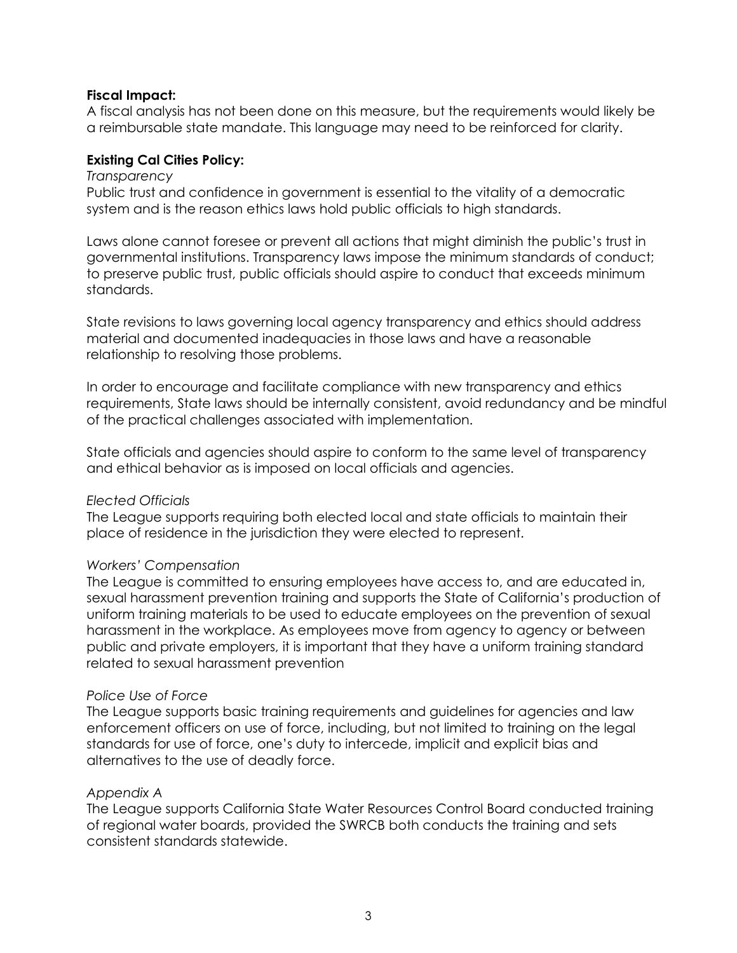### **Fiscal Impact:**

A fiscal analysis has not been done on this measure, but the requirements would likely be a reimbursable state mandate. This language may need to be reinforced for clarity.

### **Existing Cal Cities Policy:**

### *Transparency*

Public trust and confidence in government is essential to the vitality of a democratic system and is the reason ethics laws hold public officials to high standards.

Laws alone cannot foresee or prevent all actions that might diminish the public's trust in governmental institutions. Transparency laws impose the minimum standards of conduct; to preserve public trust, public officials should aspire to conduct that exceeds minimum standards.

State revisions to laws governing local agency transparency and ethics should address material and documented inadequacies in those laws and have a reasonable relationship to resolving those problems.

In order to encourage and facilitate compliance with new transparency and ethics requirements, State laws should be internally consistent, avoid redundancy and be mindful of the practical challenges associated with implementation.

State officials and agencies should aspire to conform to the same level of transparency and ethical behavior as is imposed on local officials and agencies.

### *Elected Officials*

The League supports requiring both elected local and state officials to maintain their place of residence in the jurisdiction they were elected to represent.

### *Workers' Compensation*

The League is committed to ensuring employees have access to, and are educated in, sexual harassment prevention training and supports the State of California's production of uniform training materials to be used to educate employees on the prevention of sexual harassment in the workplace. As employees move from agency to agency or between public and private employers, it is important that they have a uniform training standard related to sexual harassment prevention

### *Police Use of Force*

The League supports basic training requirements and guidelines for agencies and law enforcement officers on use of force, including, but not limited to training on the legal standards for use of force, one's duty to intercede, implicit and explicit bias and alternatives to the use of deadly force.

### *Appendix A*

The League supports California State Water Resources Control Board conducted training of regional water boards, provided the SWRCB both conducts the training and sets consistent standards statewide.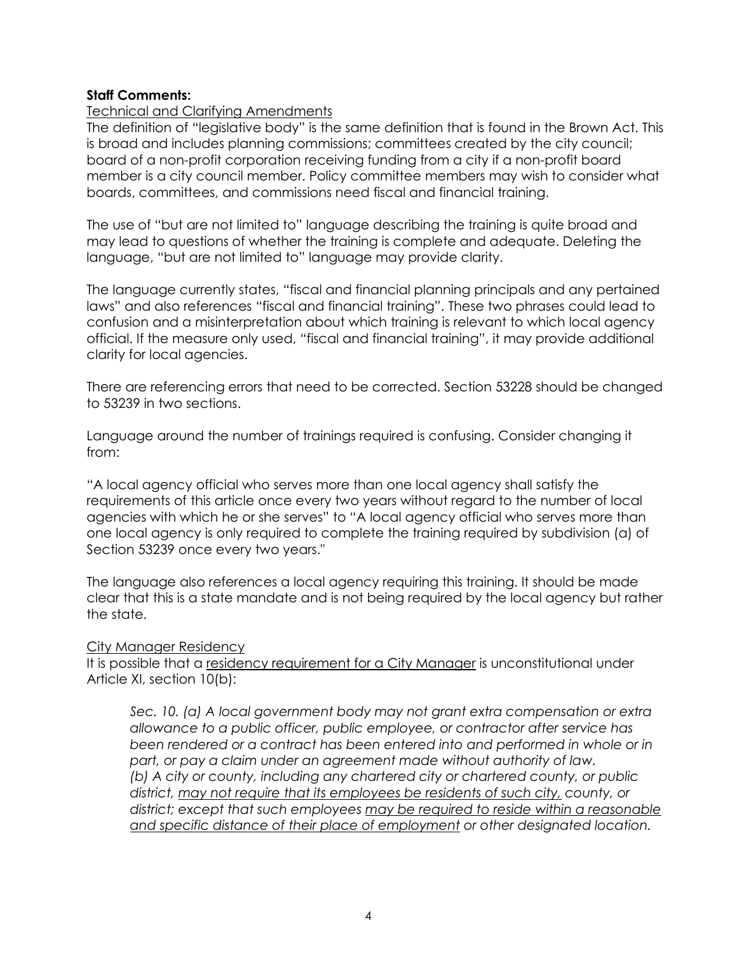### **Staff Comments:**

### Technical and Clarifying Amendments

The definition of "legislative body" is the same definition that is found in the Brown Act. This is broad and includes planning commissions; committees created by the city council; board of a non-profit corporation receiving funding from a city if a non-profit board member is a city council member. Policy committee members may wish to consider what boards, committees, and commissions need fiscal and financial training.

The use of "but are not limited to" language describing the training is quite broad and may lead to questions of whether the training is complete and adequate. Deleting the language, "but are not limited to" language may provide clarity.

The language currently states, "fiscal and financial planning principals and any pertained laws" and also references "fiscal and financial training". These two phrases could lead to confusion and a misinterpretation about which training is relevant to which local agency official. If the measure only used, "fiscal and financial training", it may provide additional clarity for local agencies.

There are referencing errors that need to be corrected. Section 53228 should be changed to 53239 in two sections.

Language around the number of trainings required is confusing. Consider changing it from:

"A local agency official who serves more than one local agency shall satisfy the requirements of this article once every two years without regard to the number of local agencies with which he or she serves" to "A local agency official who serves more than one local agency is only required to complete the training required by subdivision (a) of Section 53239 once every two years."

The language also references a local agency requiring this training. It should be made clear that this is a state mandate and is not being required by the local agency but rather the state.

### City Manager Residency

It is possible that a residency requirement for a City Manager is unconstitutional under Article XI, section 10(b):

*Sec. 10. (a) A local government body may not grant extra compensation or extra allowance to a public officer, public employee, or contractor after service has been rendered or a contract has been entered into and performed in whole or in part, or pay a claim under an agreement made without authority of law. (b) A city or county, including any chartered city or chartered county, or public district, may not require that its employees be residents of such city, county, or district; except that such employees may be required to reside within a reasonable and specific distance of their place of employment or other designated location.*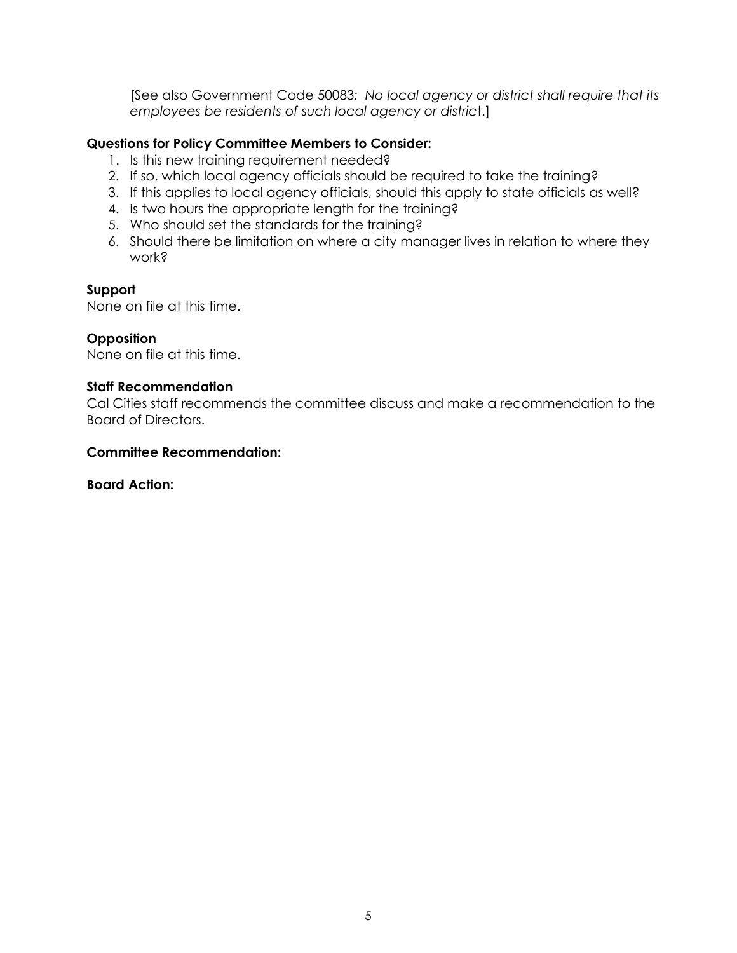[See also Government Code 50083*: No local agency or district shall require that its employees be residents of such local agency or distric*t.]

# **Questions for Policy Committee Members to Consider:**

- 1. Is this new training requirement needed?
- 2. If so, which local agency officials should be required to take the training?
- 3. If this applies to local agency officials, should this apply to state officials as well?
- 4. Is two hours the appropriate length for the training?
- 5. Who should set the standards for the training?
- 6. Should there be limitation on where a city manager lives in relation to where they work?

### **Support**

None on file at this time.

### **Opposition**

None on file at this time.

### **Staff Recommendation**

Cal Cities staff recommends the committee discuss and make a recommendation to the Board of Directors.

### **Committee Recommendation:**

**Board Action:**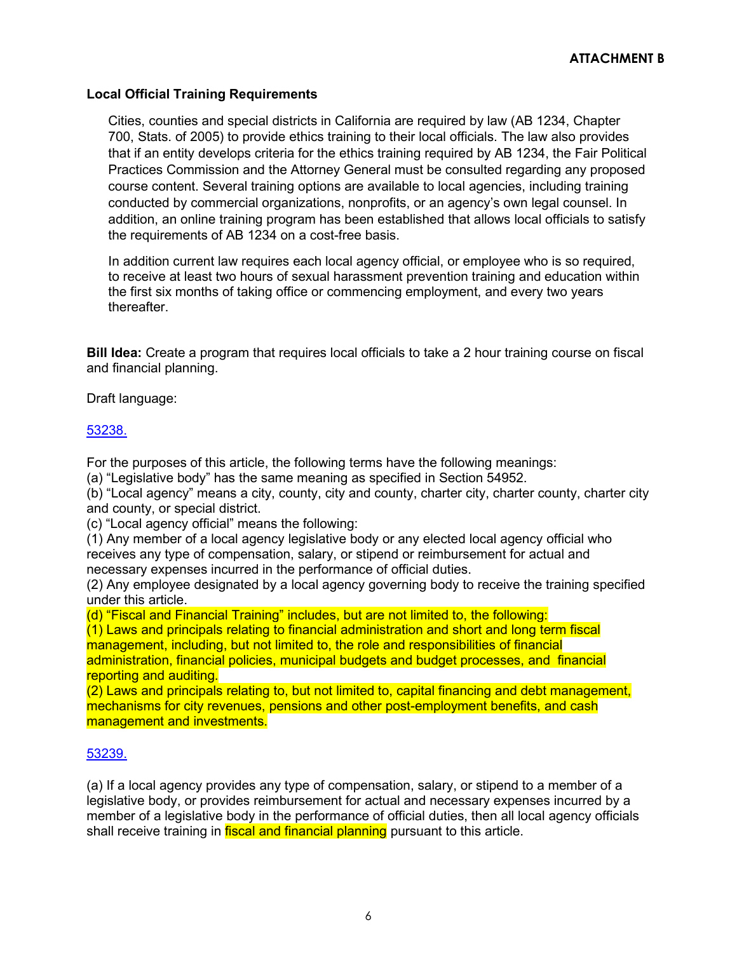### **Local Official Training Requirements**

Cities, counties and special districts in California are required by law (AB 1234, Chapter 700, Stats. of 2005) to provide ethics training to their local officials. The law also provides that if an entity develops criteria for the ethics training required by AB 1234, the Fair Political Practices Commission and the Attorney General must be consulted regarding any proposed course content. Several training options are available to local agencies, including training conducted by commercial organizations, nonprofits, or an agency's own legal counsel. In addition, an online training program has been established that allows local officials to satisfy the requirements of AB 1234 on a cost-free basis.

In addition current law requires each local agency official, or employee who is so required, to receive at least two hours of sexual harassment prevention training and education within the first six months of taking office or commencing employment, and every two years thereafter.

**Bill Idea:** Create a program that requires local officials to take a 2 hour training course on fiscal and financial planning.

Draft language:

### [53238.](javascript:submitCodesValues()

For the purposes of this article, the following terms have the following meanings:

(a) "Legislative body" has the same meaning as specified in Section 54952.

(b) "Local agency" means a city, county, city and county, charter city, charter county, charter city and county, or special district.

(c) "Local agency official" means the following:

(1) Any member of a local agency legislative body or any elected local agency official who receives any type of compensation, salary, or stipend or reimbursement for actual and necessary expenses incurred in the performance of official duties.

(2) Any employee designated by a local agency governing body to receive the training specified under this article.

(d) "Fiscal and Financial Training" includes, but are not limited to, the following:

(1) Laws and principals relating to financial administration and short and long term fiscal management, including, but not limited to, the role and responsibilities of financial administration, financial policies, municipal budgets and budget processes, and financial reporting and auditing.

(2) Laws and principals relating to, but not limited to, capital financing and debt management, mechanisms for city revenues, pensions and other post-employment benefits, and cash management and investments.

### [53239.](javascript:submitCodesValues()

(a) If a local agency provides any type of compensation, salary, or stipend to a member of a legislative body, or provides reimbursement for actual and necessary expenses incurred by a member of a legislative body in the performance of official duties, then all local agency officials shall receive training in **fiscal and financial planning** pursuant to this article.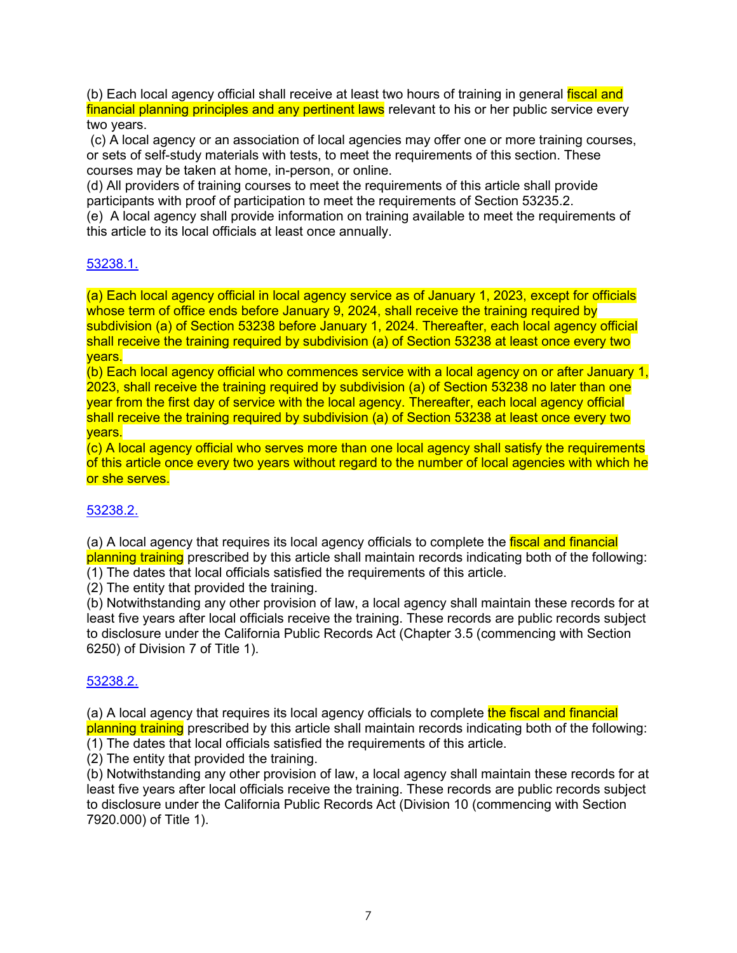(b) Each local agency official shall receive at least two hours of training in general fiscal and financial planning principles and any pertinent laws relevant to his or her public service every two years.

(c) A local agency or an association of local agencies may offer one or more training courses, or sets of self-study materials with tests, to meet the requirements of this section. These courses may be taken at home, in-person, or online.

(d) All providers of training courses to meet the requirements of this article shall provide participants with proof of participation to meet the requirements of Section 53235.2.

(e) A local agency shall provide information on training available to meet the requirements of this article to its local officials at least once annually.

### [53238.1.](javascript:submitCodesValues()

(a) Each local agency official in local agency service as of January 1, 2023, except for officials whose term of office ends before January 9, 2024, shall receive the training required by subdivision (a) of Section 53238 before January 1, 2024. Thereafter, each local agency official shall receive the training required by subdivision (a) of Section 53238 at least once every two years.

(b) Each local agency official who commences service with a local agency on or after January 1, 2023, shall receive the training required by subdivision (a) of Section 53238 no later than one year from the first day of service with the local agency. Thereafter, each local agency official shall receive the training required by subdivision (a) of Section 53238 at least once every two years.

(c) A local agency official who serves more than one local agency shall satisfy the requirements of this article once every two years without regard to the number of local agencies with which he or she serves.

# [53238.2.](javascript:submitCodesValues()

(a) A local agency that requires its local agency officials to complete the fiscal and financial planning training prescribed by this article shall maintain records indicating both of the following: (1) The dates that local officials satisfied the requirements of this article.

(2) The entity that provided the training.

(b) Notwithstanding any other provision of law, a local agency shall maintain these records for at least five years after local officials receive the training. These records are public records subject to disclosure under the California Public Records Act (Chapter 3.5 (commencing with Section 6250) of Division 7 of Title 1).

### [53238.2.](javascript:submitCodesValues()

(a) A local agency that requires its local agency officials to complete the fiscal and financial planning training prescribed by this article shall maintain records indicating both of the following: (1) The dates that local officials satisfied the requirements of this article.

(2) The entity that provided the training.

(b) Notwithstanding any other provision of law, a local agency shall maintain these records for at least five years after local officials receive the training. These records are public records subject to disclosure under the California Public Records Act (Division 10 (commencing with Section 7920.000) of Title 1).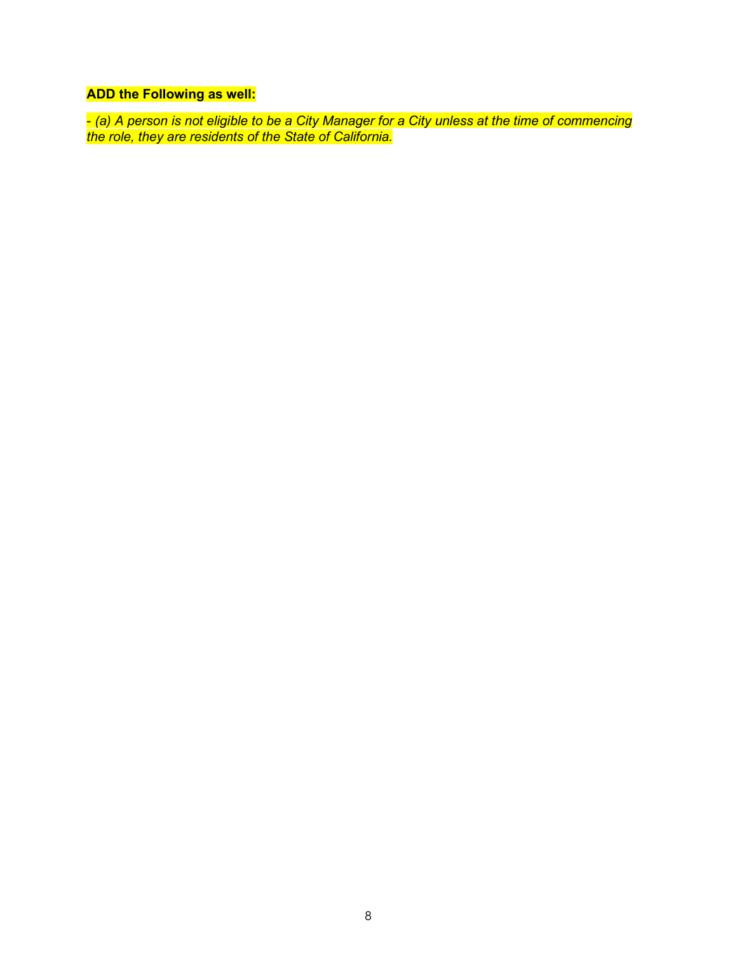# **ADD the Following as well:**

- *(a) A person is not eligible to be a City Manager for a City unless at the time of commencing the role, they are residents of the State of California.*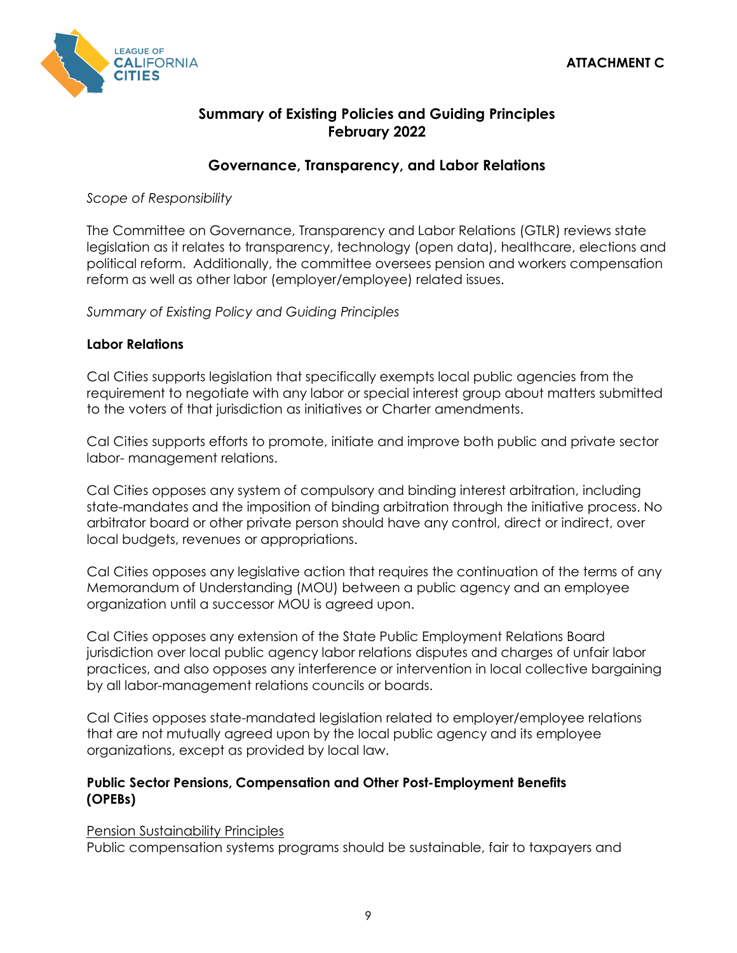

# **Summary of Existing Policies and Guiding Principles February 2022**

# **Governance, Transparency, and Labor Relations**

*Scope of Responsibility*

The Committee on Governance, Transparency and Labor Relations (GTLR) reviews state legislation as it relates to transparency, technology (open data), healthcare, elections and political reform. Additionally, the committee oversees pension and workers compensation reform as well as other labor (employer/employee) related issues.

*Summary of Existing Policy and Guiding Principles*

# **Labor Relations**

Cal Cities supports legislation that specifically exempts local public agencies from the requirement to negotiate with any labor or special interest group about matters submitted to the voters of that jurisdiction as initiatives or Charter amendments.

Cal Cities supports efforts to promote, initiate and improve both public and private sector labor- management relations.

Cal Cities opposes any system of compulsory and binding interest arbitration, including state-mandates and the imposition of binding arbitration through the initiative process. No arbitrator board or other private person should have any control, direct or indirect, over local budgets, revenues or appropriations.

Cal Cities opposes any legislative action that requires the continuation of the terms of any Memorandum of Understanding (MOU) between a public agency and an employee organization until a successor MOU is agreed upon.

Cal Cities opposes any extension of the State Public Employment Relations Board jurisdiction over local public agency labor relations disputes and charges of unfair labor practices, and also opposes any interference or intervention in local collective bargaining by all labor-management relations councils or boards.

Cal Cities opposes state-mandated legislation related to employer/employee relations that are not mutually agreed upon by the local public agency and its employee organizations, except as provided by local law.

# **Public Sector Pensions, Compensation and Other Post-Employment Benefits (OPEBs)**

Pension Sustainability Principles

Public compensation systems programs should be sustainable, fair to taxpayers and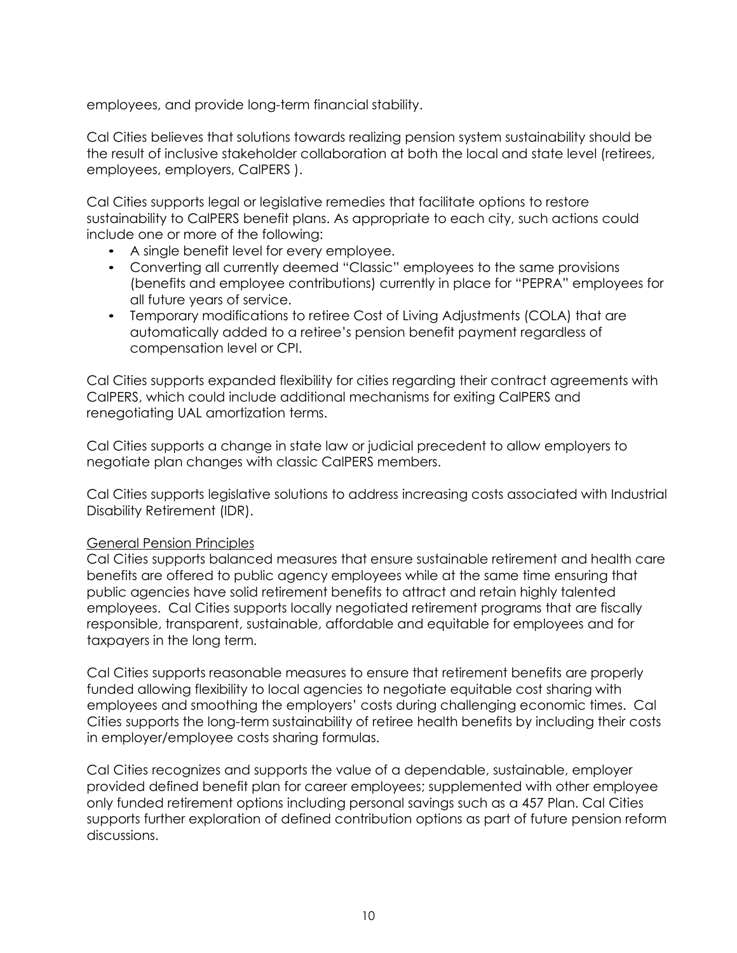employees, and provide long-term financial stability.

Cal Cities believes that solutions towards realizing pension system sustainability should be the result of inclusive stakeholder collaboration at both the local and state level (retirees, employees, employers, CalPERS ).

Cal Cities supports legal or legislative remedies that facilitate options to restore sustainability to CalPERS benefit plans. As appropriate to each city, such actions could include one or more of the following:

- A single benefit level for every employee.
- Converting all currently deemed "Classic" employees to the same provisions (benefits and employee contributions) currently in place for "PEPRA" employees for all future years of service.
- Temporary modifications to retiree Cost of Living Adjustments (COLA) that are automatically added to a retiree's pension benefit payment regardless of compensation level or CPI.

Cal Cities supports expanded flexibility for cities regarding their contract agreements with CalPERS, which could include additional mechanisms for exiting CalPERS and renegotiating UAL amortization terms.

Cal Cities supports a change in state law or judicial precedent to allow employers to negotiate plan changes with classic CalPERS members.

Cal Cities supports legislative solutions to address increasing costs associated with Industrial Disability Retirement (IDR).

### General Pension Principles

Cal Cities supports balanced measures that ensure sustainable retirement and health care benefits are offered to public agency employees while at the same time ensuring that public agencies have solid retirement benefits to attract and retain highly talented employees. Cal Cities supports locally negotiated retirement programs that are fiscally responsible, transparent, sustainable, affordable and equitable for employees and for taxpayers in the long term.

Cal Cities supports reasonable measures to ensure that retirement benefits are properly funded allowing flexibility to local agencies to negotiate equitable cost sharing with employees and smoothing the employers' costs during challenging economic times. Cal Cities supports the long-term sustainability of retiree health benefits by including their costs in employer/employee costs sharing formulas.

Cal Cities recognizes and supports the value of a dependable, sustainable, employer provided defined benefit plan for career employees; supplemented with other employee only funded retirement options including personal savings such as a 457 Plan. Cal Cities supports further exploration of defined contribution options as part of future pension reform discussions.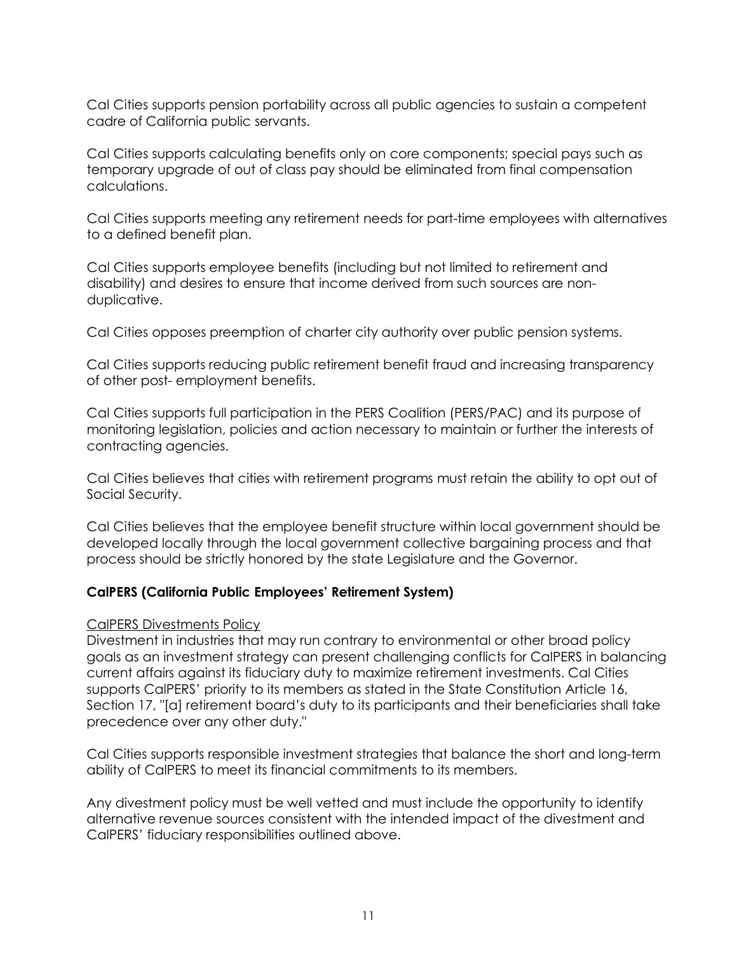Cal Cities supports pension portability across all public agencies to sustain a competent cadre of California public servants.

Cal Cities supports calculating benefits only on core components; special pays such as temporary upgrade of out of class pay should be eliminated from final compensation calculations.

Cal Cities supports meeting any retirement needs for part-time employees with alternatives to a defined benefit plan.

Cal Cities supports employee benefits (including but not limited to retirement and disability) and desires to ensure that income derived from such sources are nonduplicative.

Cal Cities opposes preemption of charter city authority over public pension systems.

Cal Cities supports reducing public retirement benefit fraud and increasing transparency of other post- employment benefits.

Cal Cities supports full participation in the PERS Coalition (PERS/PAC) and its purpose of monitoring legislation, policies and action necessary to maintain or further the interests of contracting agencies.

Cal Cities believes that cities with retirement programs must retain the ability to opt out of Social Security.

Cal Cities believes that the employee benefit structure within local government should be developed locally through the local government collective bargaining process and that process should be strictly honored by the state Legislature and the Governor.

# **CalPERS (California Public Employees' Retirement System)**

### CalPERS Divestments Policy

Divestment in industries that may run contrary to environmental or other broad policy goals as an investment strategy can present challenging conflicts for CalPERS in balancing current affairs against its fiduciary duty to maximize retirement investments. Cal Cities supports CalPERS' priority to its members as stated in the State Constitution Article 16, Section 17, "[a] retirement board's duty to its participants and their beneficiaries shall take precedence over any other duty."

Cal Cities supports responsible investment strategies that balance the short and long-term ability of CalPERS to meet its financial commitments to its members.

Any divestment policy must be well vetted and must include the opportunity to identify alternative revenue sources consistent with the intended impact of the divestment and CalPERS' fiduciary responsibilities outlined above.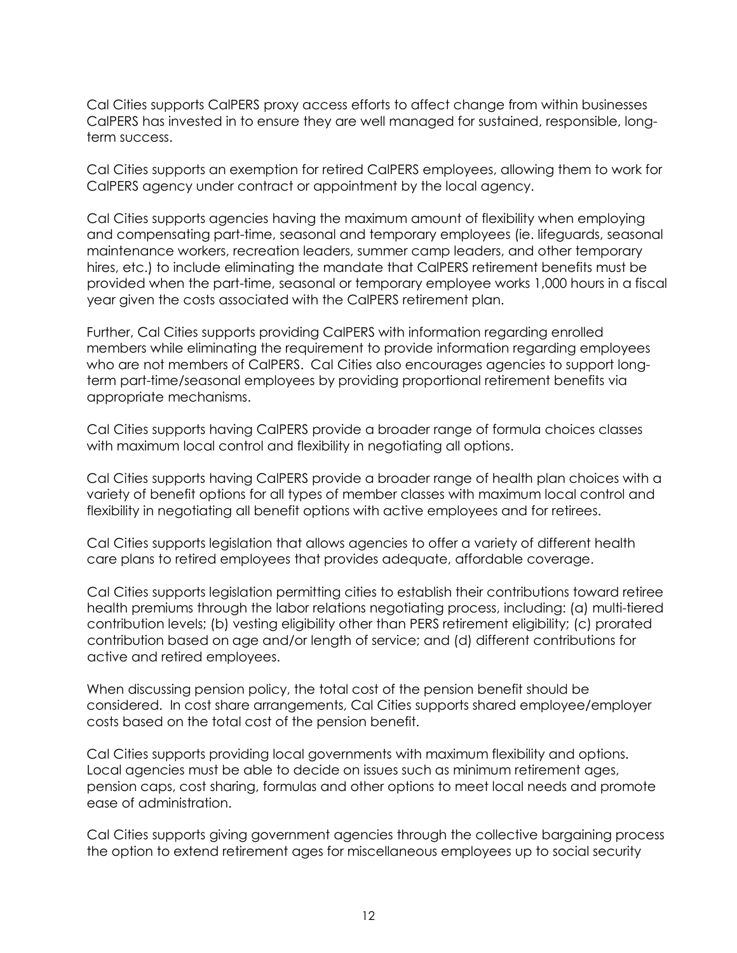Cal Cities supports CalPERS proxy access efforts to affect change from within businesses CalPERS has invested in to ensure they are well managed for sustained, responsible, longterm success.

Cal Cities supports an exemption for retired CalPERS employees, allowing them to work for CalPERS agency under contract or appointment by the local agency.

Cal Cities supports agencies having the maximum amount of flexibility when employing and compensating part-time, seasonal and temporary employees (ie. lifeguards, seasonal maintenance workers, recreation leaders, summer camp leaders, and other temporary hires, etc.) to include eliminating the mandate that CalPERS retirement benefits must be provided when the part-time, seasonal or temporary employee works 1,000 hours in a fiscal year given the costs associated with the CalPERS retirement plan.

Further, Cal Cities supports providing CalPERS with information regarding enrolled members while eliminating the requirement to provide information regarding employees who are not members of CalPERS. Cal Cities also encourages agencies to support longterm part-time/seasonal employees by providing proportional retirement benefits via appropriate mechanisms.

Cal Cities supports having CalPERS provide a broader range of formula choices classes with maximum local control and flexibility in negotiating all options.

Cal Cities supports having CalPERS provide a broader range of health plan choices with a variety of benefit options for all types of member classes with maximum local control and flexibility in negotiating all benefit options with active employees and for retirees.

Cal Cities supports legislation that allows agencies to offer a variety of different health care plans to retired employees that provides adequate, affordable coverage.

Cal Cities supports legislation permitting cities to establish their contributions toward retiree health premiums through the labor relations negotiating process, including: (a) multi-tiered contribution levels; (b) vesting eligibility other than PERS retirement eligibility; (c) prorated contribution based on age and/or length of service; and (d) different contributions for active and retired employees.

When discussing pension policy, the total cost of the pension benefit should be considered. In cost share arrangements, Cal Cities supports shared employee/employer costs based on the total cost of the pension benefit.

Cal Cities supports providing local governments with maximum flexibility and options. Local agencies must be able to decide on issues such as minimum retirement ages, pension caps, cost sharing, formulas and other options to meet local needs and promote ease of administration.

Cal Cities supports giving government agencies through the collective bargaining process the option to extend retirement ages for miscellaneous employees up to social security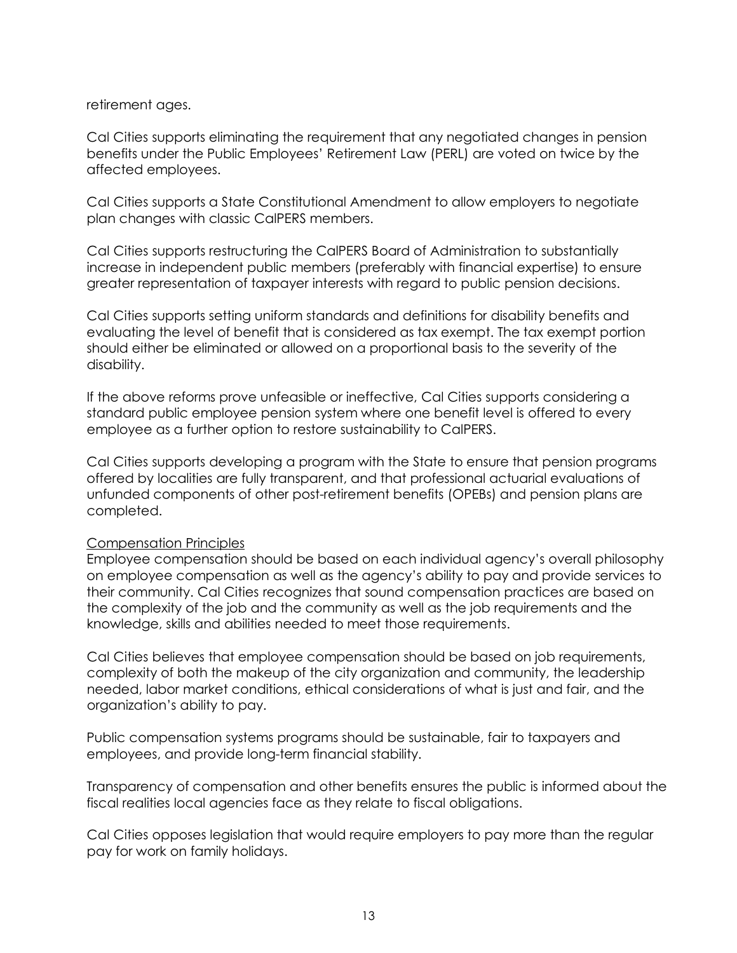retirement ages.

Cal Cities supports eliminating the requirement that any negotiated changes in pension benefits under the Public Employees' Retirement Law (PERL) are voted on twice by the affected employees.

Cal Cities supports a State Constitutional Amendment to allow employers to negotiate plan changes with classic CalPERS members.

Cal Cities supports restructuring the CalPERS Board of Administration to substantially increase in independent public members (preferably with financial expertise) to ensure greater representation of taxpayer interests with regard to public pension decisions.

Cal Cities supports setting uniform standards and definitions for disability benefits and evaluating the level of benefit that is considered as tax exempt. The tax exempt portion should either be eliminated or allowed on a proportional basis to the severity of the disability.

If the above reforms prove unfeasible or ineffective, Cal Cities supports considering a standard public employee pension system where one benefit level is offered to every employee as a further option to restore sustainability to CalPERS.

Cal Cities supports developing a program with the State to ensure that pension programs offered by localities are fully transparent, and that professional actuarial evaluations of unfunded components of other post-retirement benefits (OPEBs) and pension plans are completed.

### Compensation Principles

Employee compensation should be based on each individual agency's overall philosophy on employee compensation as well as the agency's ability to pay and provide services to their community. Cal Cities recognizes that sound compensation practices are based on the complexity of the job and the community as well as the job requirements and the knowledge, skills and abilities needed to meet those requirements.

Cal Cities believes that employee compensation should be based on job requirements, complexity of both the makeup of the city organization and community, the leadership needed, labor market conditions, ethical considerations of what is just and fair, and the organization's ability to pay.

Public compensation systems programs should be sustainable, fair to taxpayers and employees, and provide long-term financial stability.

Transparency of compensation and other benefits ensures the public is informed about the fiscal realities local agencies face as they relate to fiscal obligations.

Cal Cities opposes legislation that would require employers to pay more than the regular pay for work on family holidays.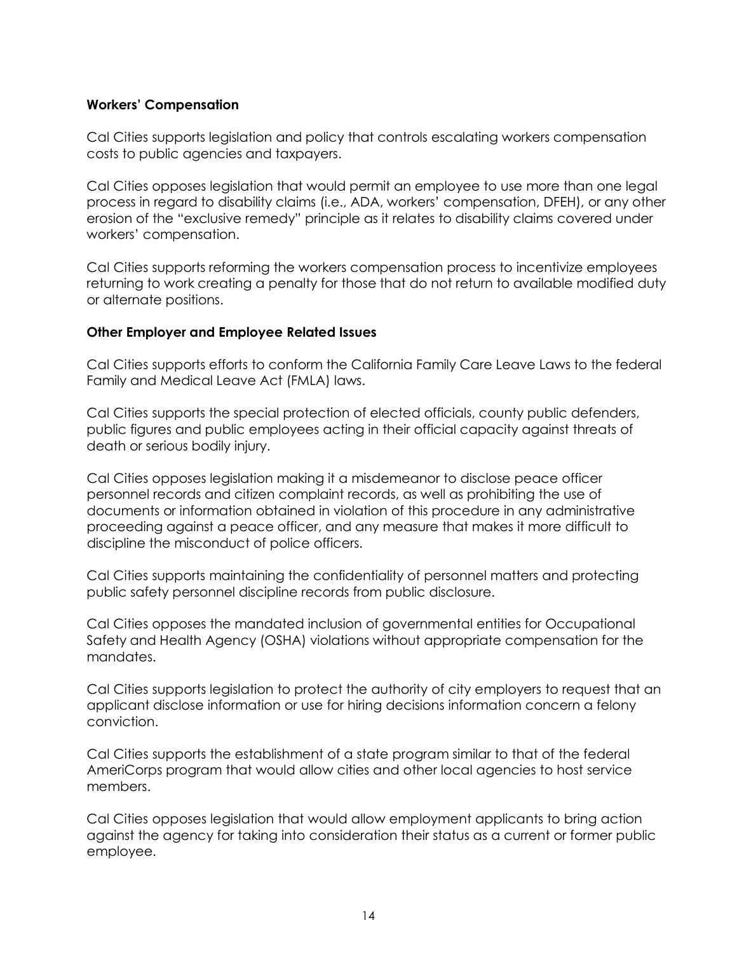### **Workers' Compensation**

Cal Cities supports legislation and policy that controls escalating workers compensation costs to public agencies and taxpayers.

Cal Cities opposes legislation that would permit an employee to use more than one legal process in regard to disability claims (i.e., ADA, workers' compensation, DFEH), or any other erosion of the "exclusive remedy" principle as it relates to disability claims covered under workers' compensation.

Cal Cities supports reforming the workers compensation process to incentivize employees returning to work creating a penalty for those that do not return to available modified duty or alternate positions.

# **Other Employer and Employee Related Issues**

Cal Cities supports efforts to conform the California Family Care Leave Laws to the federal Family and Medical Leave Act (FMLA) laws.

Cal Cities supports the special protection of elected officials, county public defenders, public figures and public employees acting in their official capacity against threats of death or serious bodily injury.

Cal Cities opposes legislation making it a misdemeanor to disclose peace officer personnel records and citizen complaint records, as well as prohibiting the use of documents or information obtained in violation of this procedure in any administrative proceeding against a peace officer, and any measure that makes it more difficult to discipline the misconduct of police officers.

Cal Cities supports maintaining the confidentiality of personnel matters and protecting public safety personnel discipline records from public disclosure.

Cal Cities opposes the mandated inclusion of governmental entities for Occupational Safety and Health Agency (OSHA) violations without appropriate compensation for the mandates.

Cal Cities supports legislation to protect the authority of city employers to request that an applicant disclose information or use for hiring decisions information concern a felony conviction.

Cal Cities supports the establishment of a state program similar to that of the federal AmeriCorps program that would allow cities and other local agencies to host service members.

Cal Cities opposes legislation that would allow employment applicants to bring action against the agency for taking into consideration their status as a current or former public employee.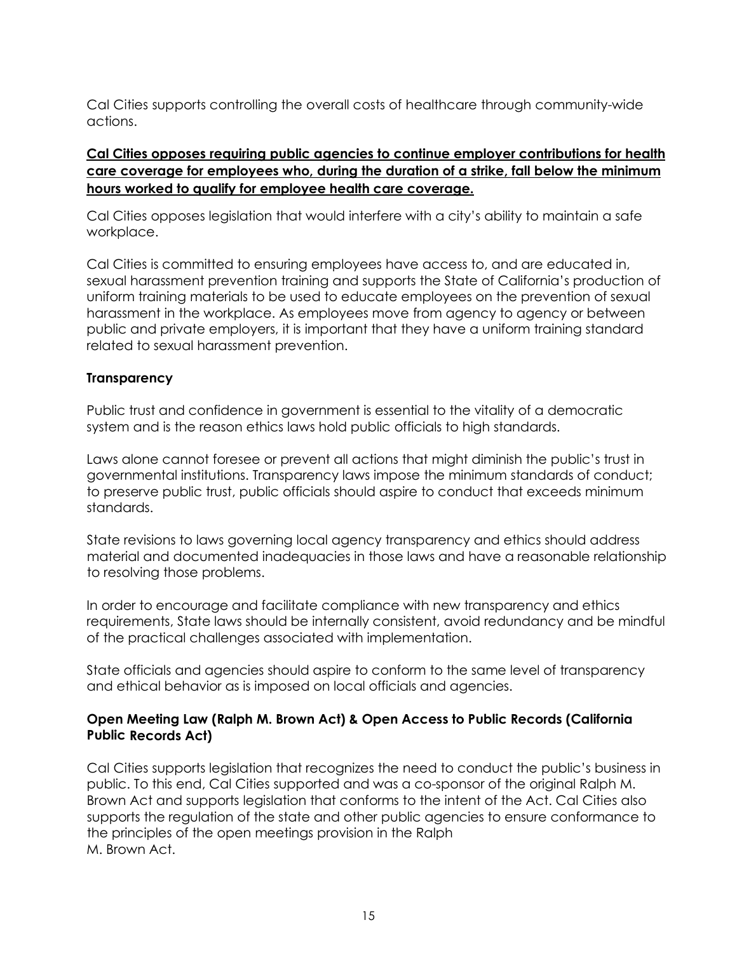Cal Cities supports controlling the overall costs of healthcare through community-wide actions.

# **Cal Cities opposes requiring public agencies to continue employer contributions for health care coverage for employees who, during the duration of a strike, fall below the minimum hours worked to qualify for employee health care coverage.**

Cal Cities opposes legislation that would interfere with a city's ability to maintain a safe workplace.

Cal Cities is committed to ensuring employees have access to, and are educated in, sexual harassment prevention training and supports the State of California's production of uniform training materials to be used to educate employees on the prevention of sexual harassment in the workplace. As employees move from agency to agency or between public and private employers, it is important that they have a uniform training standard related to sexual harassment prevention.

# **Transparency**

Public trust and confidence in government is essential to the vitality of a democratic system and is the reason ethics laws hold public officials to high standards.

Laws alone cannot foresee or prevent all actions that might diminish the public's trust in governmental institutions. Transparency laws impose the minimum standards of conduct; to preserve public trust, public officials should aspire to conduct that exceeds minimum standards.

State revisions to laws governing local agency transparency and ethics should address material and documented inadequacies in those laws and have a reasonable relationship to resolving those problems.

In order to encourage and facilitate compliance with new transparency and ethics requirements, State laws should be internally consistent, avoid redundancy and be mindful of the practical challenges associated with implementation.

State officials and agencies should aspire to conform to the same level of transparency and ethical behavior as is imposed on local officials and agencies.

# **Open Meeting Law (Ralph M. Brown Act) & Open Access to Public Records (California Public Records Act)**

Cal Cities supports legislation that recognizes the need to conduct the public's business in public. To this end, Cal Cities supported and was a co-sponsor of the original Ralph M. Brown Act and supports legislation that conforms to the intent of the Act. Cal Cities also supports the regulation of the state and other public agencies to ensure conformance to the principles of the open meetings provision in the Ralph M. Brown Act.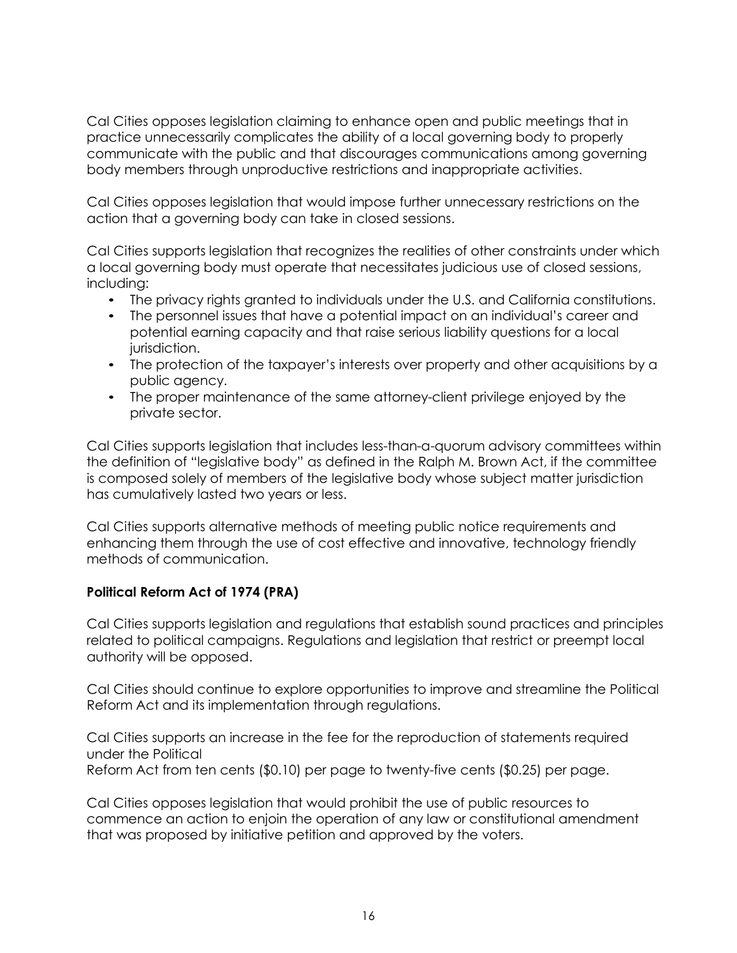Cal Cities opposes legislation claiming to enhance open and public meetings that in practice unnecessarily complicates the ability of a local governing body to properly communicate with the public and that discourages communications among governing body members through unproductive restrictions and inappropriate activities.

Cal Cities opposes legislation that would impose further unnecessary restrictions on the action that a governing body can take in closed sessions.

Cal Cities supports legislation that recognizes the realities of other constraints under which a local governing body must operate that necessitates judicious use of closed sessions, including:

- The privacy rights granted to individuals under the U.S. and California constitutions.
- The personnel issues that have a potential impact on an individual's career and potential earning capacity and that raise serious liability questions for a local jurisdiction.
- The protection of the taxpayer's interests over property and other acquisitions by a public agency.
- The proper maintenance of the same attorney-client privilege enjoyed by the private sector.

Cal Cities supports legislation that includes less-than-a-quorum advisory committees within the definition of "legislative body" as defined in the Ralph M. Brown Act, if the committee is composed solely of members of the legislative body whose subject matter jurisdiction has cumulatively lasted two years or less.

Cal Cities supports alternative methods of meeting public notice requirements and enhancing them through the use of cost effective and innovative, technology friendly methods of communication.

# **Political Reform Act of 1974 (PRA)**

Cal Cities supports legislation and regulations that establish sound practices and principles related to political campaigns. Regulations and legislation that restrict or preempt local authority will be opposed.

Cal Cities should continue to explore opportunities to improve and streamline the Political Reform Act and its implementation through regulations.

Cal Cities supports an increase in the fee for the reproduction of statements required under the Political

Reform Act from ten cents (\$0.10) per page to twenty-five cents (\$0.25) per page.

Cal Cities opposes legislation that would prohibit the use of public resources to commence an action to enjoin the operation of any law or constitutional amendment that was proposed by initiative petition and approved by the voters.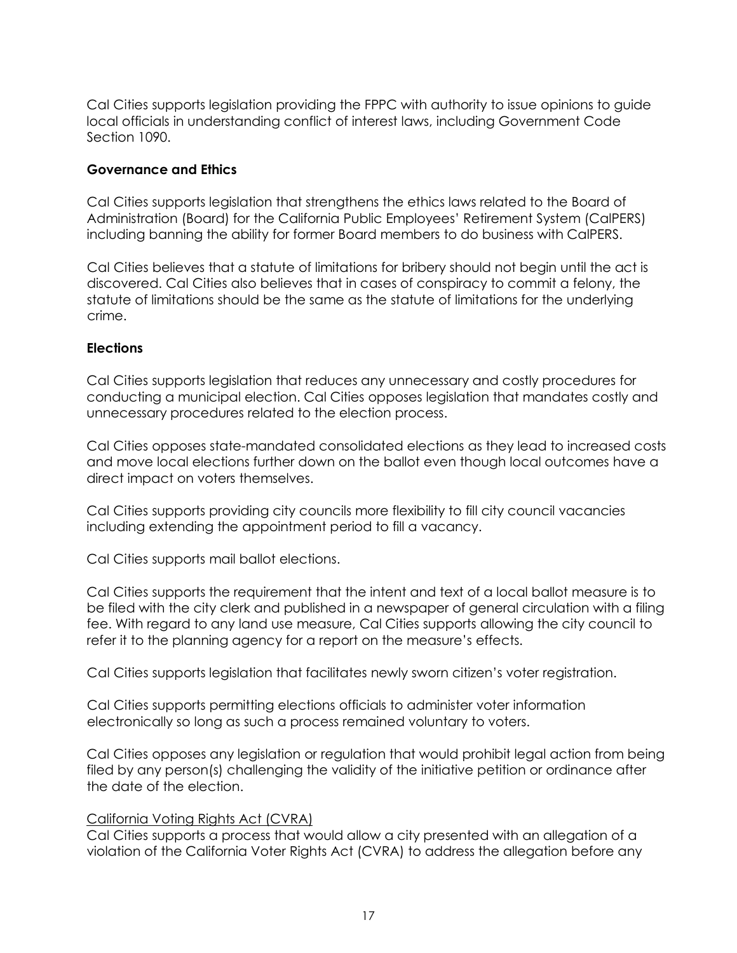Cal Cities supports legislation providing the FPPC with authority to issue opinions to guide local officials in understanding conflict of interest laws, including Government Code Section 1090.

# **Governance and Ethics**

Cal Cities supports legislation that strengthens the ethics laws related to the Board of Administration (Board) for the California Public Employees' Retirement System (CalPERS) including banning the ability for former Board members to do business with CalPERS.

Cal Cities believes that a statute of limitations for bribery should not begin until the act is discovered. Cal Cities also believes that in cases of conspiracy to commit a felony, the statute of limitations should be the same as the statute of limitations for the underlying crime.

# **Elections**

Cal Cities supports legislation that reduces any unnecessary and costly procedures for conducting a municipal election. Cal Cities opposes legislation that mandates costly and unnecessary procedures related to the election process.

Cal Cities opposes state-mandated consolidated elections as they lead to increased costs and move local elections further down on the ballot even though local outcomes have a direct impact on voters themselves.

Cal Cities supports providing city councils more flexibility to fill city council vacancies including extending the appointment period to fill a vacancy.

Cal Cities supports mail ballot elections.

Cal Cities supports the requirement that the intent and text of a local ballot measure is to be filed with the city clerk and published in a newspaper of general circulation with a filing fee. With regard to any land use measure, Cal Cities supports allowing the city council to refer it to the planning agency for a report on the measure's effects.

Cal Cities supports legislation that facilitates newly sworn citizen's voter registration.

Cal Cities supports permitting elections officials to administer voter information electronically so long as such a process remained voluntary to voters.

Cal Cities opposes any legislation or regulation that would prohibit legal action from being filed by any person(s) challenging the validity of the initiative petition or ordinance after the date of the election.

### California Voting Rights Act (CVRA)

Cal Cities supports a process that would allow a city presented with an allegation of a violation of the California Voter Rights Act (CVRA) to address the allegation before any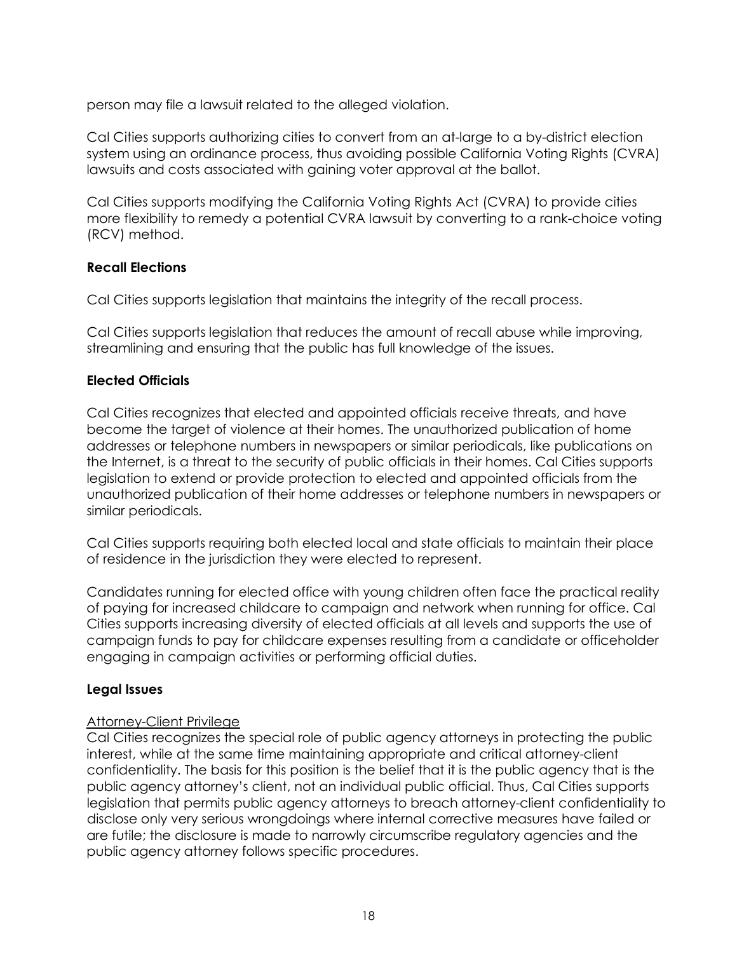person may file a lawsuit related to the alleged violation.

Cal Cities supports authorizing cities to convert from an at-large to a by-district election system using an ordinance process, thus avoiding possible California Voting Rights (CVRA) lawsuits and costs associated with gaining voter approval at the ballot.

Cal Cities supports modifying the California Voting Rights Act (CVRA) to provide cities more flexibility to remedy a potential CVRA lawsuit by converting to a rank-choice voting (RCV) method.

# **Recall Elections**

Cal Cities supports legislation that maintains the integrity of the recall process.

Cal Cities supports legislation that reduces the amount of recall abuse while improving, streamlining and ensuring that the public has full knowledge of the issues.

# **Elected Officials**

Cal Cities recognizes that elected and appointed officials receive threats, and have become the target of violence at their homes. The unauthorized publication of home addresses or telephone numbers in newspapers or similar periodicals, like publications on the Internet, is a threat to the security of public officials in their homes. Cal Cities supports legislation to extend or provide protection to elected and appointed officials from the unauthorized publication of their home addresses or telephone numbers in newspapers or similar periodicals.

Cal Cities supports requiring both elected local and state officials to maintain their place of residence in the jurisdiction they were elected to represent.

Candidates running for elected office with young children often face the practical reality of paying for increased childcare to campaign and network when running for office. Cal Cities supports increasing diversity of elected officials at all levels and supports the use of campaign funds to pay for childcare expenses resulting from a candidate or officeholder engaging in campaign activities or performing official duties.

### **Legal Issues**

### Attorney-Client Privilege

Cal Cities recognizes the special role of public agency attorneys in protecting the public interest, while at the same time maintaining appropriate and critical attorney-client confidentiality. The basis for this position is the belief that it is the public agency that is the public agency attorney's client, not an individual public official. Thus, Cal Cities supports legislation that permits public agency attorneys to breach attorney-client confidentiality to disclose only very serious wrongdoings where internal corrective measures have failed or are futile; the disclosure is made to narrowly circumscribe regulatory agencies and the public agency attorney follows specific procedures.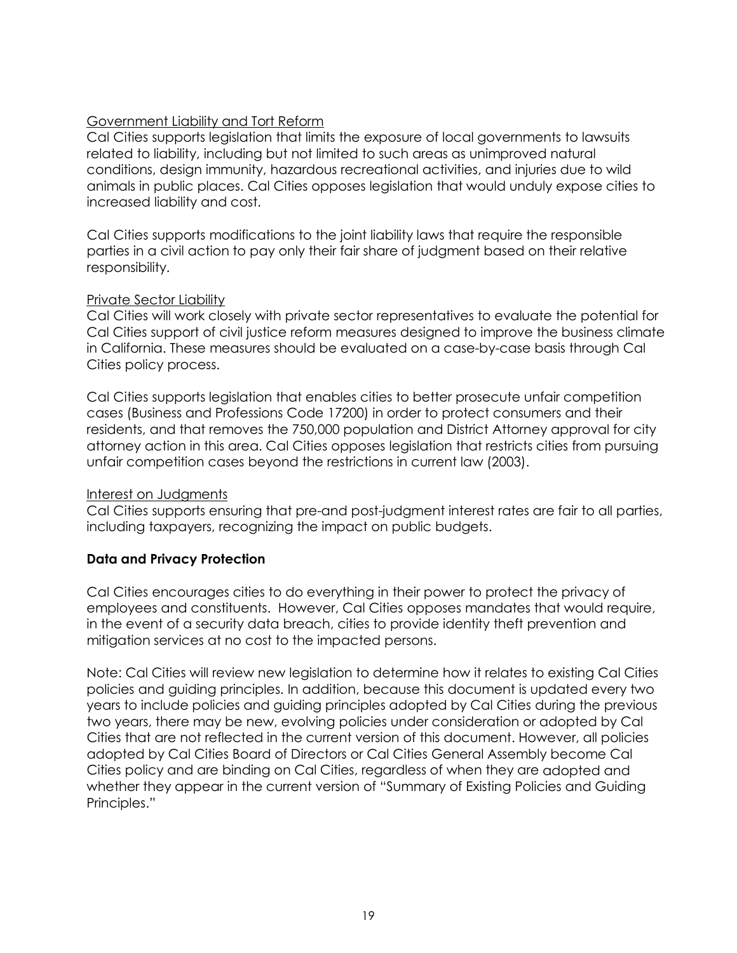# Government Liability and Tort Reform

Cal Cities supports legislation that limits the exposure of local governments to lawsuits related to liability, including but not limited to such areas as unimproved natural conditions, design immunity, hazardous recreational activities, and injuries due to wild animals in public places. Cal Cities opposes legislation that would unduly expose cities to increased liability and cost.

Cal Cities supports modifications to the joint liability laws that require the responsible parties in a civil action to pay only their fair share of judgment based on their relative responsibility.

# Private Sector Liability

Cal Cities will work closely with private sector representatives to evaluate the potential for Cal Cities support of civil justice reform measures designed to improve the business climate in California. These measures should be evaluated on a case-by-case basis through Cal Cities policy process.

Cal Cities supports legislation that enables cities to better prosecute unfair competition cases (Business and Professions Code 17200) in order to protect consumers and their residents, and that removes the 750,000 population and District Attorney approval for city attorney action in this area. Cal Cities opposes legislation that restricts cities from pursuing unfair competition cases beyond the restrictions in current law (2003).

### Interest on Judgments

Cal Cities supports ensuring that pre-and post-judgment interest rates are fair to all parties, including taxpayers, recognizing the impact on public budgets.

# **Data and Privacy Protection**

Cal Cities encourages cities to do everything in their power to protect the privacy of employees and constituents. However, Cal Cities opposes mandates that would require, in the event of a security data breach, cities to provide identity theft prevention and mitigation services at no cost to the impacted persons.

Note: Cal Cities will review new legislation to determine how it relates to existing Cal Cities policies and guiding principles. In addition, because this document is updated every two years to include policies and guiding principles adopted by Cal Cities during the previous two years, there may be new, evolving policies under consideration or adopted by Cal Cities that are not reflected in the current version of this document. However, all policies adopted by Cal Cities Board of Directors or Cal Cities General Assembly become Cal Cities policy and are binding on Cal Cities, regardless of when they are adopted and whether they appear in the current version of "Summary of Existing Policies and Guiding Principles."